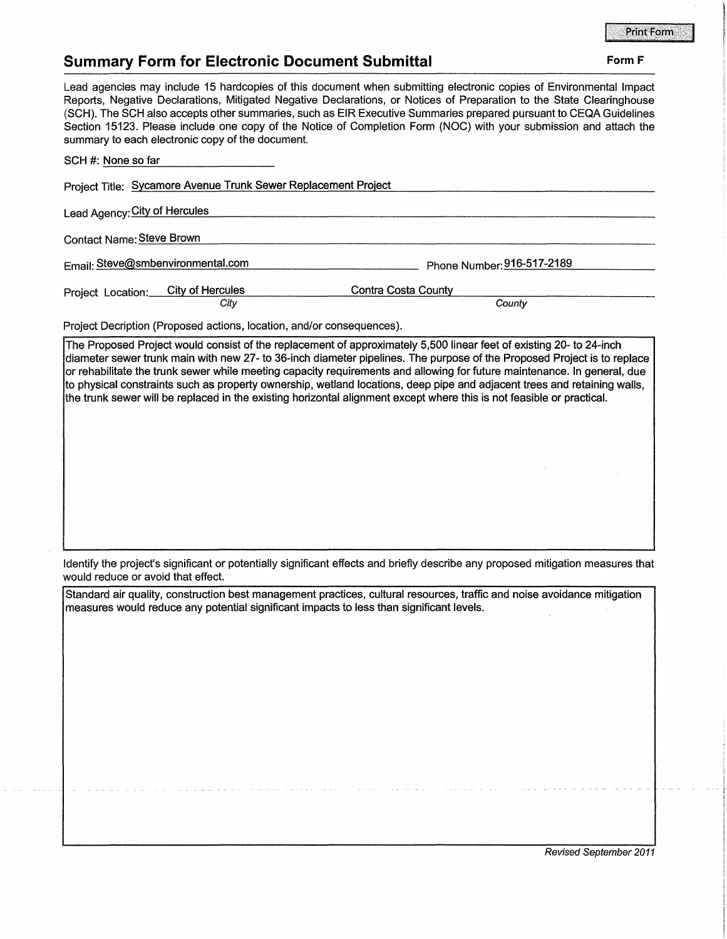## **Print Form**

## **Summary Form for Electronic Document Submittal Form F Form F Form F**

Lead agencies may include 15 hardcopies of this document when submitting electronic copies of Environmental Impact Reports, Negative Declarations, Mitigated Negative Declarations, or Notices of Preparation to the State Clearinghouse (SCH). The SCH also accepts other summaries, such as EIR Executive Summaries prepared pursuant to CEQA Guidelines Section 15123. Please include one copy of the Notice of Completion Form (NOC) with your submission and attach the summary to each electronic copy of the document.

| SCH #: None so far                                             |                               |
|----------------------------------------------------------------|-------------------------------|
| Project Title: Sycamore Avenue Trunk Sewer Replacement Project |                               |
| Lead Agency: City of Hercules                                  |                               |
| Contact Name: Steve Brown                                      |                               |
| Email: Steve@smbenvironmental.com                              | Phone Number: 916-517-2189    |
| Project Location: City of Hercules<br>City                     | Contra Costa County<br>County |

Project Decription (Proposed actions, location, and/or consequences).

The Proposed Project would consist of the replacement of approximately 5,500 linear feet of existing 20- to 24-inch diameter sewer trunk main with new 27- to 36-inch diameter pipelines. The purpose of the Proposed Project is to replace or rehabilitate the trunk sewer while meeting capacity requirements and allowing for future maintenance. In general, due to physical constraints such as property ownership, wetland locations, deep pipe and adjacent trees and retaining walls, the trunk sewer will be replaced in the existing horizontal alignment except where this is not feasible or practical.

Identify the project's significant or potentially significant effects and briefly describe any proposed mitigation measures that would reduce or avoid that effect.

Standard air quality, construction best management practices, cultural resources, traffic and noise avoidance mitigation measures would reduce any potential significant impacts to less than significant levels.

Revised September 2011